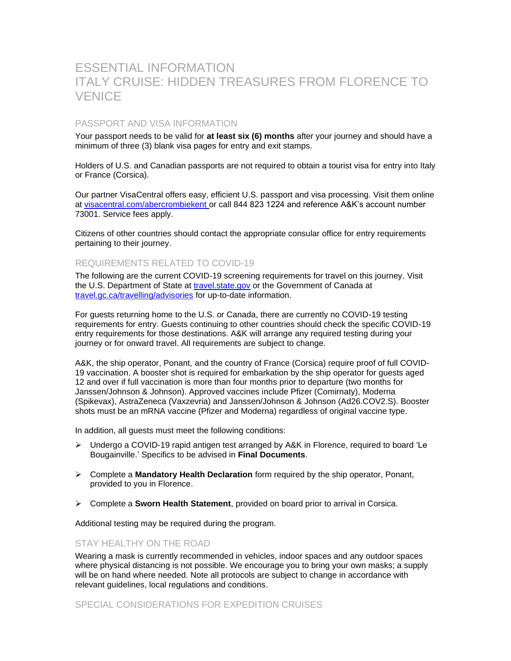# ESSENTIAL INFORMATION ITALY CRUISE: HIDDEN TREASURES FROM FLORENCE TO **VENICE**

## PASSPORT AND VISA INFORMATION

Your passport needs to be valid for **at least six (6) months** after your journey and should have a minimum of three (3) blank visa pages for entry and exit stamps.

Holders of U.S. and Canadian passports are not required to obtain a tourist visa for entry into Italy or France (Corsica).

Our partner VisaCentral offers easy, efficient U.S. passport and visa processing. Visit them online at [visacentral.com/abercrombiekent](http://www.visacentral.com/abercrombiekent) or call 844 823 1224 and reference A&K's account number 73001. Service fees apply.

Citizens of other countries should contact the appropriate consular office for entry requirements pertaining to their journey.

## REQUIREMENTS RELATED TO COVID-19

The following are the current COVID-19 screening requirements for travel on this journey. Visit the U.S. Department of State at [travel.state.gov](https://travel.state.gov/content/travel/en/international-travel.html) or the Government of Canada at [travel.gc.ca/travelling/advisories](https://travel.gc.ca/travelling/advisories) for up-to-date information.

For guests returning home to the U.S. or Canada, there are currently no COVID-19 testing requirements for entry. Guests continuing to other countries should check the specific COVID-19 entry requirements for those destinations. A&K will arrange any required testing during your journey or for onward travel. All requirements are subject to change.

A&K, the ship operator, Ponant, and the country of France (Corsica) require proof of full COVID-19 vaccination. A booster shot is required for embarkation by the ship operator for guests aged 12 and over if full vaccination is more than four months prior to departure (two months for Janssen/Johnson & Johnson). Approved vaccines include Pfizer (Comirnaty), Moderna (Spikevax), AstraZeneca (Vaxzevria) and Janssen/Johnson & Johnson (Ad26.COV2.S). Booster shots must be an mRNA vaccine (Pfizer and Moderna) regardless of original vaccine type.

In addition, all guests must meet the following conditions:

- ➢ Undergo a COVID-19 rapid antigen test arranged by A&K in Florence, required to board 'Le Bougainville.' Specifics to be advised in **Final Documents**.
- ➢ Complete a **Mandatory Health Declaration** form required by the ship operator, Ponant, provided to you in Florence.
- ➢ Complete a **Sworn Health Statement**, provided on board prior to arrival in Corsica.

Additional testing may be required during the program.

## STAY HEALTHY ON THE ROAD

Wearing a mask is currently recommended in vehicles, indoor spaces and any outdoor spaces where physical distancing is not possible. We encourage you to bring your own masks; a supply will be on hand where needed. Note all protocols are subject to change in accordance with relevant guidelines, local regulations and conditions.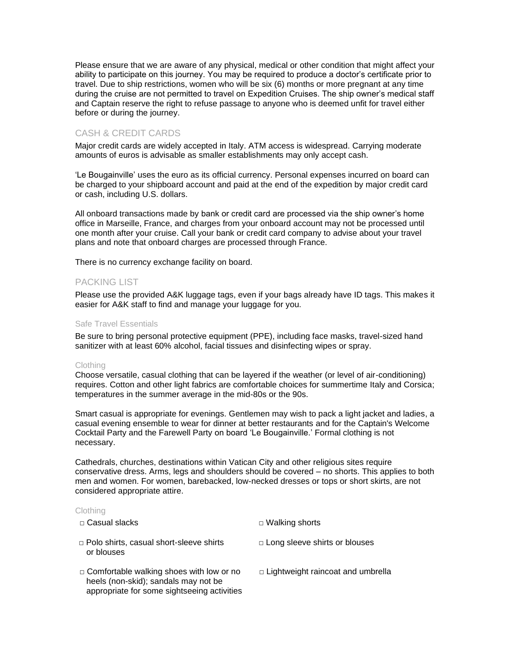Please ensure that we are aware of any physical, medical or other condition that might affect your ability to participate on this journey. You may be required to produce a doctor's certificate prior to travel. Due to ship restrictions, women who will be six (6) months or more pregnant at any time during the cruise are not permitted to travel on Expedition Cruises. The ship owner's medical staff and Captain reserve the right to refuse passage to anyone who is deemed unfit for travel either before or during the journey.

# CASH & CREDIT CARDS

Major credit cards are widely accepted in Italy. ATM access is widespread. Carrying moderate amounts of euros is advisable as smaller establishments may only accept cash.

'Le Bougainville' uses the euro as its official currency. Personal expenses incurred on board can be charged to your shipboard account and paid at the end of the expedition by major credit card or cash, including U.S. dollars.

All onboard transactions made by bank or credit card are processed via the ship owner's home office in Marseille, France, and charges from your onboard account may not be processed until one month after your cruise. Call your bank or credit card company to advise about your travel plans and note that onboard charges are processed through France.

There is no currency exchange facility on board.

## PACKING LIST

Please use the provided A&K luggage tags, even if your bags already have ID tags. This makes it easier for A&K staff to find and manage your luggage for you.

#### Safe Travel Essentials

Be sure to bring personal protective equipment (PPE), including face masks, travel-sized hand sanitizer with at least 60% alcohol, facial tissues and disinfecting wipes or spray.

#### Clothing

Choose versatile, casual clothing that can be layered if the weather (or level of air-conditioning) requires. Cotton and other light fabrics are comfortable choices for summertime Italy and Corsica; temperatures in the summer average in the mid-80s or the 90s.

Smart casual is appropriate for evenings. Gentlemen may wish to pack a light jacket and ladies, a casual evening ensemble to wear for dinner at better restaurants and for the Captain's Welcome Cocktail Party and the Farewell Party on board 'Le Bougainville.' Formal clothing is not necessary.

Cathedrals, churches, destinations within Vatican City and other religious sites require conservative dress. Arms, legs and shoulders should be covered – no shorts. This applies to both men and women. For women, barebacked, low-necked dresses or tops or short skirts, are not considered appropriate attire.

#### Clothing

| □ Casual slacks                                                                                                                        | $\Box$ Walking shorts                    |
|----------------------------------------------------------------------------------------------------------------------------------------|------------------------------------------|
| $\Box$ Polo shirts, casual short-sleeve shirts<br>or blouses                                                                           | $\Box$ Long sleeve shirts or blouses     |
| $\Box$ Comfortable walking shoes with low or no<br>heels (non-skid); sandals may not be<br>appropriate for some sightseeing activities | $\Box$ Lightweight raincoat and umbrella |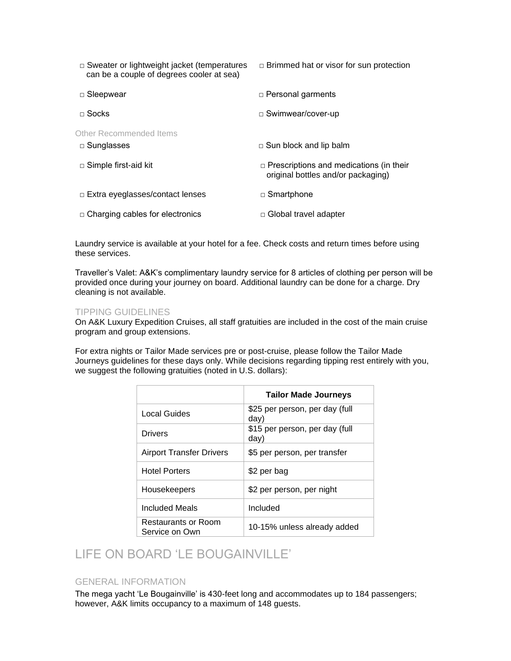| $\Box$ Sweater or lightweight jacket (temperatures<br>can be a couple of degrees cooler at sea) | $\Box$ Brimmed hat or visor for sun protection                                       |
|-------------------------------------------------------------------------------------------------|--------------------------------------------------------------------------------------|
| □ Sleepwear                                                                                     | $\Box$ Personal garments                                                             |
| $\sqcap$ Socks                                                                                  | □ Swimwear/cover-up                                                                  |
| Other Recommended Items<br>$\Box$ Sunglasses                                                    | $\Box$ Sun block and lip balm                                                        |
| $\Box$ Simple first-aid kit                                                                     | $\Box$ Prescriptions and medications (in their<br>original bottles and/or packaging) |
| □ Extra eyeglasses/contact lenses                                                               | □ Smartphone                                                                         |
| $\Box$ Charging cables for electronics                                                          | $\Box$ Global travel adapter                                                         |

Laundry service is available at your hotel for a fee. Check costs and return times before using these services.

Traveller's Valet: A&K's complimentary laundry service for 8 articles of clothing per person will be provided once during your journey on board. Additional laundry can be done for a charge. Dry cleaning is not available.

## TIPPING GUIDELINES

On A&K Luxury Expedition Cruises, all staff gratuities are included in the cost of the main cruise program and group extensions.

For extra nights or Tailor Made services pre or post-cruise, please follow the Tailor Made Journeys guidelines for these days only. While decisions regarding tipping rest entirely with you, we suggest the following gratuities (noted in U.S. dollars):

|                                       | <b>Tailor Made Journeys</b>            |
|---------------------------------------|----------------------------------------|
| Local Guides                          | \$25 per person, per day (full<br>day) |
| Drivers                               | \$15 per person, per day (full<br>day) |
| <b>Airport Transfer Drivers</b>       | \$5 per person, per transfer           |
| <b>Hotel Porters</b>                  | \$2 per bag                            |
| Housekeepers                          | \$2 per person, per night              |
| Included Meals                        | Included                               |
| Restaurants or Room<br>Service on Own | 10-15% unless already added            |

# LIFE ON BOARD 'LE BOUGAINVILLE'

## GENERAL INFORMATION

The mega yacht 'Le Bougainville' is 430-feet long and accommodates up to 184 passengers; however, A&K limits occupancy to a maximum of 148 guests.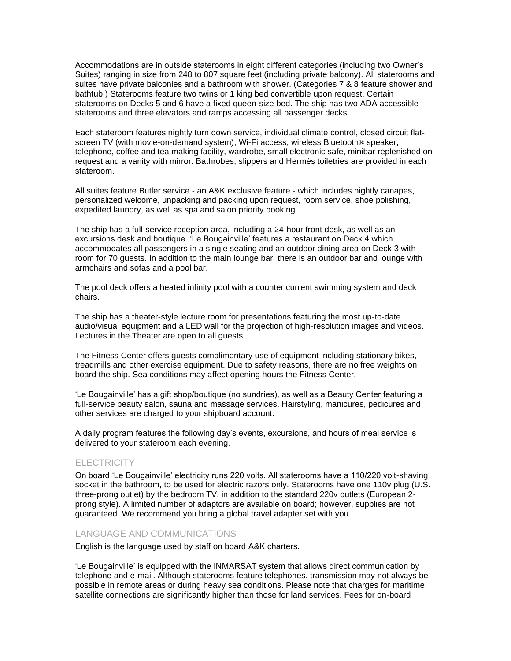Accommodations are in outside staterooms in eight different categories (including two Owner's Suites) ranging in size from 248 to 807 square feet (including private balcony). All staterooms and suites have private balconies and a bathroom with shower. (Categories 7 & 8 feature shower and bathtub.) Staterooms feature two twins or 1 king bed convertible upon request. Certain staterooms on Decks 5 and 6 have a fixed queen-size bed. The ship has two ADA accessible staterooms and three elevators and ramps accessing all passenger decks.

Each stateroom features nightly turn down service, individual climate control, closed circuit flatscreen TV (with movie-on-demand system), Wi-Fi access, wireless Bluetooth® speaker, telephone, coffee and tea making facility, wardrobe, small electronic safe, minibar replenished on request and a vanity with mirror. Bathrobes, slippers and Hermès toiletries are provided in each stateroom.

All suites feature Butler service - an A&K exclusive feature - which includes nightly canapes, personalized welcome, unpacking and packing upon request, room service, shoe polishing, expedited laundry, as well as spa and salon priority booking.

The ship has a full-service reception area, including a 24-hour front desk, as well as an excursions desk and boutique. 'Le Bougainville' features a restaurant on Deck 4 which accommodates all passengers in a single seating and an outdoor dining area on Deck 3 with room for 70 guests. In addition to the main lounge bar, there is an outdoor bar and lounge with armchairs and sofas and a pool bar.

The pool deck offers a heated infinity pool with a counter current swimming system and deck chairs.

The ship has a theater-style lecture room for presentations featuring the most up-to-date audio/visual equipment and a LED wall for the projection of high-resolution images and videos. Lectures in the Theater are open to all guests.

The Fitness Center offers guests complimentary use of equipment including stationary bikes, treadmills and other exercise equipment. Due to safety reasons, there are no free weights on board the ship. Sea conditions may affect opening hours the Fitness Center.

'Le Bougainville' has a gift shop/boutique (no sundries), as well as a Beauty Center featuring a full-service beauty salon, sauna and massage services. Hairstyling, manicures, pedicures and other services are charged to your shipboard account.

A daily program features the following day's events, excursions, and hours of meal service is delivered to your stateroom each evening.

### **ELECTRICITY**

On board 'Le Bougainville' electricity runs 220 volts. All staterooms have a 110/220 volt-shaving socket in the bathroom, to be used for electric razors only. Staterooms have one 110v plug (U.S. three-prong outlet) by the bedroom TV, in addition to the standard 220v outlets (European 2 prong style). A limited number of adaptors are available on board; however, supplies are not guaranteed. We recommend you bring a global travel adapter set with you.

## LANGUAGE AND COMMUNICATIONS

English is the language used by staff on board A&K charters.

'Le Bougainville' is equipped with the INMARSAT system that allows direct communication by telephone and e-mail. Although staterooms feature telephones, transmission may not always be possible in remote areas or during heavy sea conditions. Please note that charges for maritime satellite connections are significantly higher than those for land services. Fees for on-board